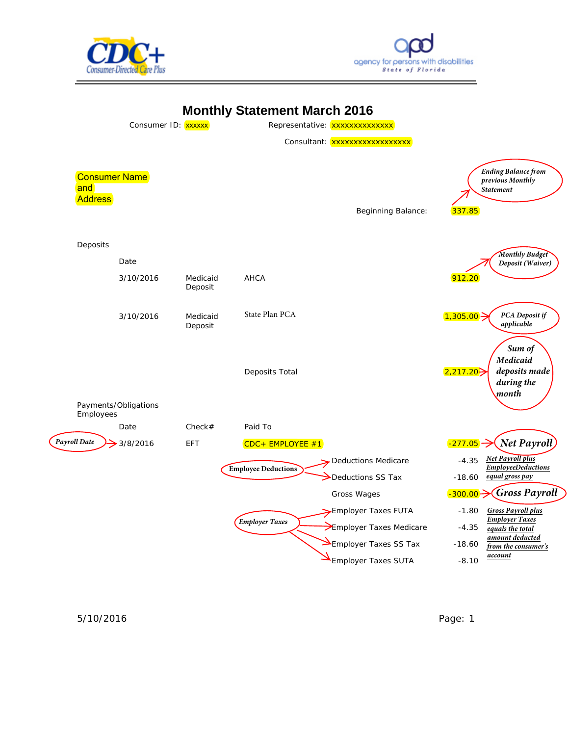





5/10/2016 Page: 1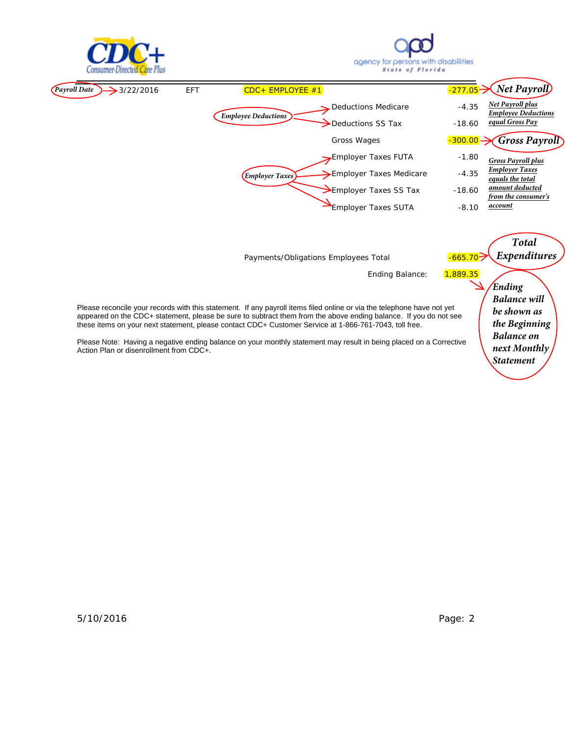